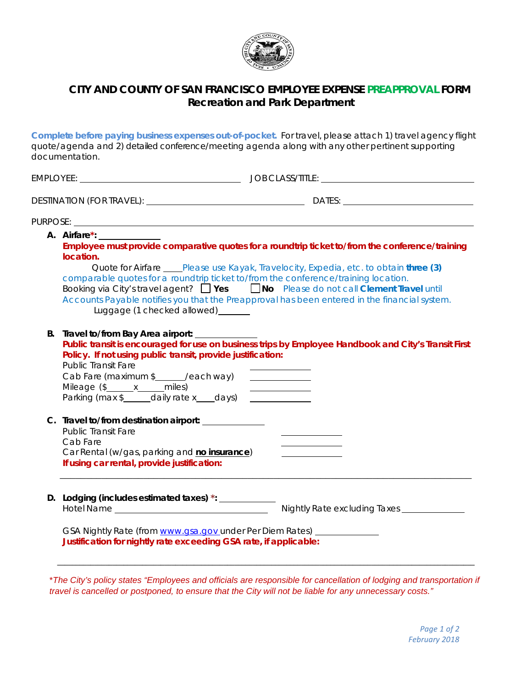

## **CITY AND COUNTY OF SAN FRANCISCO EMPLOYEE EXPENSE PREAPPROVAL FORM Recreation and Park Department**

**Complete before paying business expenses out-of-pocket.** For travel, please attach 1) travel agency flight quote/agenda and 2) detailed conference/meeting agenda along with any other pertinent supporting documentation.

|    | A. Airfare*: New York 1997<br>location.<br>comparable quotes for a roundtrip ticket to/from the conference/training location.<br>Booking via City's travel agent? $\Box$ Yes $\Box$ No Please do not call Clement Travel until<br>Luggage (1 checked allowed) _______ | Employee must provide comparative quotes for a roundtrip ticket to/from the conference/training<br>Quote for Airfare ____Please use Kayak, Travelocity, Expedia, etc. to obtain three (3)<br>Accounts Payable notifies you that the Preapproval has been entered in the financial system. |
|----|-----------------------------------------------------------------------------------------------------------------------------------------------------------------------------------------------------------------------------------------------------------------------|-------------------------------------------------------------------------------------------------------------------------------------------------------------------------------------------------------------------------------------------------------------------------------------------|
| В. | Travel to/from Bay Area airport:<br>Policy. If not using public transit, provide justification:<br><b>Public Transit Fare</b><br>Cab Fare (maximum \$_____/each way)<br>Mileage (\$______ x_____ miles)<br>Parking (max \$_____daily rate x___days)                   | Public transit is encouraged for use on business trips by Employee Handbook and City's Transit First<br><u> 1999 - Johann Stein, fransk politik (</u><br><u> 1999 - Jan Jawa Barat, pre</u>                                                                                               |
|    | C. Travel to/from destination airport:<br><b>Public Transit Fare</b><br>Cab Fare<br>Car Rental (w/gas, parking and no insurance)<br>If using car rental, provide justification:                                                                                       |                                                                                                                                                                                                                                                                                           |
|    | D. Lodging (includes estimated taxes) *: ___________                                                                                                                                                                                                                  | Nightly Rate excluding Taxes ______________                                                                                                                                                                                                                                               |
|    | GSA Nightly Rate (from www.gsa.gov_under Per Diem Rates) __<br>Justification for nightly rate exceeding GSA rate, if applicable:                                                                                                                                      |                                                                                                                                                                                                                                                                                           |

\**The City's policy states "Employees and officials are responsible for cancellation of lodging and transportation if travel is cancelled or postponed, to ensure that the City will not be liable for any unnecessary costs."*

\_\_\_\_\_\_\_\_\_\_\_\_\_\_\_\_\_\_\_\_\_\_\_\_\_\_\_\_\_\_\_\_\_\_\_\_\_\_\_\_\_\_\_\_\_\_\_\_\_\_\_\_\_\_\_\_\_\_\_\_\_\_\_\_\_\_\_\_\_\_\_\_\_\_\_\_\_\_\_\_\_\_\_\_\_\_\_\_\_\_\_\_\_\_\_\_\_\_\_\_\_\_\_\_\_\_\_\_\_\_\_\_\_